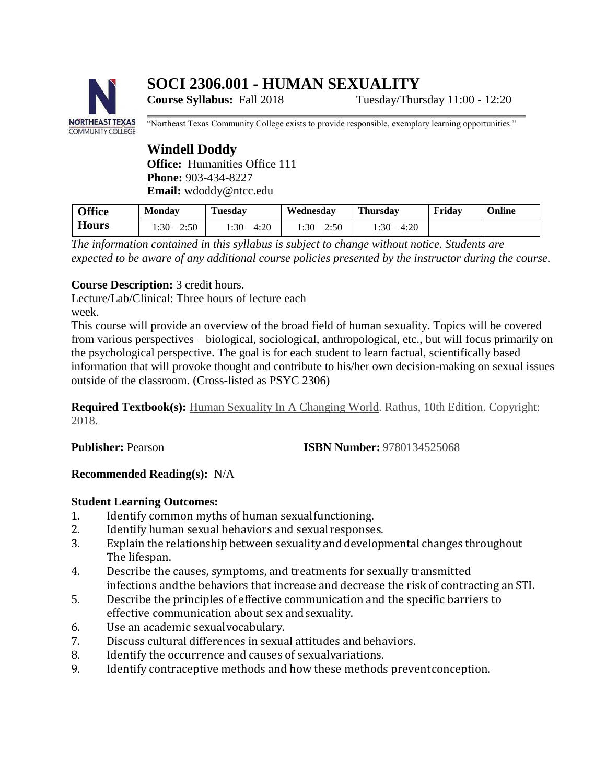# **SOCI 2306.001 - HUMAN SEXUALITY**



**Course Syllabus:** Fall 2018 Tuesday/Thursday 11:00 - 12:20

"Northeast Texas Community College exists to provide responsible, exemplary learning opportunities."

# **Windell Doddy**

**Office:** Humanities Office 111 **Phone:** 903-434-8227 **Email:** [wdoddy@ntcc.edu](mailto:wdoddy@ntcc.edu)

| <b>Office</b> | <b>Monday</b> | <b>Tuesday</b> | Wednesday     | Thursdav      | Fridav | Online |
|---------------|---------------|----------------|---------------|---------------|--------|--------|
| <b>Hours</b>  | $1:30 - 2:50$ | 1:30 – 4:20    | $1:30 - 2:50$ | $1:30 - 4:20$ |        |        |

*The information contained in this syllabus is subject to change without notice. Students are expected to be aware of any additional course policies presented by the instructor during the course.*

## **Course Description:** 3 credit hours.

Lecture/Lab/Clinical: Three hours of lecture each week.

This course will provide an overview of the broad field of human sexuality. Topics will be covered from various perspectives – biological, sociological, anthropological, etc., but will focus primarily on the psychological perspective. The goal is for each student to learn factual, scientifically based information that will provoke thought and contribute to his/her own decision-making on sexual issues outside of the classroom. (Cross-listed as PSYC 2306)

**Required Textbook(s):** Human Sexuality In A Changing World. Rathus, 10th Edition. Copyright: 2018.

**Publisher:** Pearson **ISBN Number:** 9780134525068

## **Recommended Reading(s):** N/A

## **Student Learning Outcomes:**

- 1. Identify common myths of human sexualfunctioning.
- 2. Identify human sexual behaviors and sexualresponses.
- 3. Explain the relationship between sexuality and developmental changes throughout The lifespan.
- 4. Describe the causes, symptoms, and treatments for sexually transmitted infections andthe behaviors that increase and decrease the risk of contracting anSTI.
- 5. Describe the principles of effective communication and the specific barriers to effective communication about sex andsexuality.
- 6. Use an academic sexualvocabulary.
- 7. Discuss cultural differences in sexual attitudes andbehaviors.
- 8. Identify the occurrence and causes of sexualvariations.
- 9. Identify contraceptive methods and how these methods preventconception.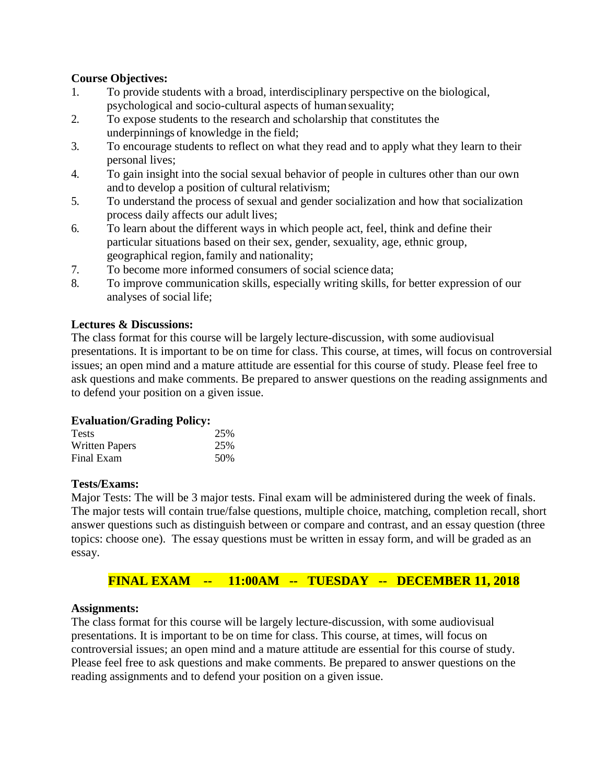## **Course Objectives:**

- 1. To provide students with a broad, interdisciplinary perspective on the biological, psychological and socio-cultural aspects of human sexuality;
- 2. To expose students to the research and scholarship that constitutes the underpinnings of knowledge in the field;
- 3. To encourage students to reflect on what they read and to apply what they learn to their personal lives;
- 4. To gain insight into the social sexual behavior of people in cultures other than our own and to develop a position of cultural relativism;
- 5. To understand the process of sexual and gender socialization and how that socialization process daily affects our adult lives;
- 6. To learn about the different ways in which people act, feel, think and define their particular situations based on their sex, gender, sexuality, age, ethnic group, geographical region, family and nationality;
- 7. To become more informed consumers of social science data;
- 8. To improve communication skills, especially writing skills, for better expression of our analyses of social life;

## **Lectures & Discussions:**

The class format for this course will be largely lecture-discussion, with some audiovisual presentations. It is important to be on time for class. This course, at times, will focus on controversial issues; an open mind and a mature attitude are essential for this course of study. Please feel free to ask questions and make comments. Be prepared to answer questions on the reading assignments and to defend your position on a given issue.

## **Evaluation/Grading Policy:**

| <b>Tests</b>          | 25% |
|-----------------------|-----|
| <b>Written Papers</b> | 25% |
| Final Exam            | 50% |

## **Tests/Exams:**

Major Tests: The will be 3 major tests. Final exam will be administered during the week of finals. The major tests will contain true/false questions, multiple choice, matching, completion recall, short answer questions such as distinguish between or compare and contrast, and an essay question (three topics: choose one). The essay questions must be written in essay form, and will be graded as an essay.

## **FINAL EXAM -- 11:00AM -- TUESDAY -- DECEMBER 11, 2018**

## **Assignments:**

The class format for this course will be largely lecture-discussion, with some audiovisual presentations. It is important to be on time for class. This course, at times, will focus on controversial issues; an open mind and a mature attitude are essential for this course of study. Please feel free to ask questions and make comments. Be prepared to answer questions on the reading assignments and to defend your position on a given issue.